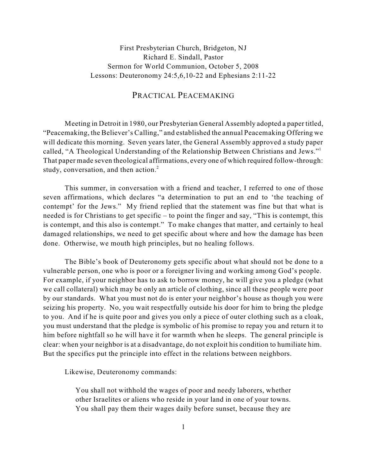## First Presbyterian Church, Bridgeton, NJ Richard E. Sindall, Pastor Sermon for World Communion, October 5, 2008 Lessons: Deuteronomy 24:5,6,10-22 and Ephesians 2:11-22

## PRACTICAL PEACEMAKING

Meeting in Detroit in 1980, our Presbyterian General Assembly adopted a paper titled, "Peacemaking, the Believer's Calling," and established the annual Peacemaking Offering we will dedicate this morning. Seven years later, the General Assembly approved a study paper called, "A Theological Understanding of the Relationship Between Christians and Jews." 1 That paper made seven theological affirmations, every one of which required follow-through: study, conversation, and then action. 2

This summer, in conversation with a friend and teacher, I referred to one of those seven affirmations, which declares "a determination to put an end to 'the teaching of contempt' for the Jews." My friend replied that the statement was fine but that what is needed is for Christians to get specific – to point the finger and say, "This is contempt, this is contempt, and this also is contempt." To make changes that matter, and certainly to heal damaged relationships, we need to get specific about where and how the damage has been done. Otherwise, we mouth high principles, but no healing follows.

The Bible's book of Deuteronomy gets specific about what should not be done to a vulnerable person, one who is poor or a foreigner living and working among God's people. For example, if your neighbor has to ask to borrow money, he will give you a pledge (what we call collateral) which may be only an article of clothing, since all these people were poor by our standards. What you must not do is enter your neighbor's house as though you were seizing his property. No, you wait respectfully outside his door for him to bring the pledge to you. And if he is quite poor and gives you only a piece of outer clothing such as a cloak, you must understand that the pledge is symbolic of his promise to repay you and return it to him before nightfall so he will have it for warmth when he sleeps. The general principle is clear: when your neighbor is at a disadvantage, do not exploit his condition to humiliate him. But the specifics put the principle into effect in the relations between neighbors.

Likewise, Deuteronomy commands:

You shall not withhold the wages of poor and needy laborers, whether other Israelites or aliens who reside in your land in one of your towns. You shall pay them their wages daily before sunset, because they are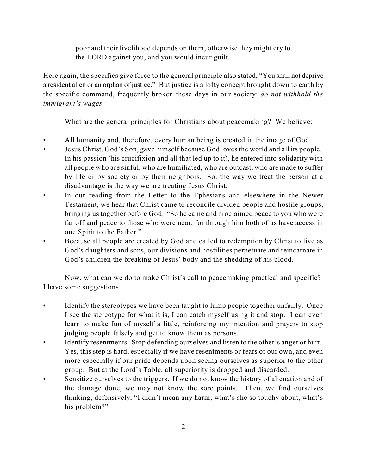poor and their livelihood depends on them; otherwise they might cry to the LORD against you, and you would incur guilt.

Here again, the specifics give force to the general principle also stated, "You shall not deprive a resident alien or an orphan of justice." But justice is a lofty concept brought down to earth by the specific command, frequently broken these days in our society: *do not withhold the immigrant's wages.*

What are the general principles for Christians about peacemaking? We believe:

- All humanity and, therefore, every human being is created in the image of God.
- Jesus Christ, God's Son, gave himself because God loves the world and all its people. In his passion (his crucifixion and all that led up to it), he entered into solidarity with all people who are sinful, who are humiliated, who are outcast, who are made to suffer by life or by society or by their neighbors. So, the way we treat the person at a disadvantage is the way we are treating Jesus Christ.
- In our reading from the Letter to the Ephesians and elsewhere in the Newer Testament, we hear that Christ came to reconcile divided people and hostile groups, bringing us together before God. "So he came and proclaimed peace to you who were far off and peace to those who were near; for through him both of us have access in one Spirit to the Father."
- Because all people are created by God and called to redemption by Christ to live as God's daughters and sons, our divisions and hostilities perpetuate and reincarnate in God's children the breaking of Jesus' body and the shedding of his blood.

Now, what can we do to make Christ's call to peacemaking practical and specific? I have some suggestions.

- Identify the stereotypes we have been taught to lump people together unfairly. Once I see the stereotype for what it is, I can catch myself using it and stop. I can even learn to make fun of myself a little, reinforcing my intention and prayers to stop judging people falsely and get to know them as persons.
- Identify resentments. Stop defending ourselves and listen to the other's anger or hurt. Yes, this step is hard, especially if we have resentments or fears of our own, and even more especially if our pride depends upon seeing ourselves as superior to the other group. But at the Lord's Table, all superiority is dropped and discarded.
- Sensitize ourselves to the triggers. If we do not know the history of alienation and of the damage done, we may not know the sore points. Then, we find ourselves thinking, defensively, "I didn't mean any harm; what's she so touchy about, what's his problem?"